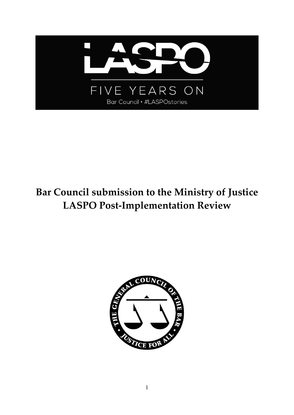

# **Bar Council submission to the Ministry of Justice LASPO Post-Implementation Review**

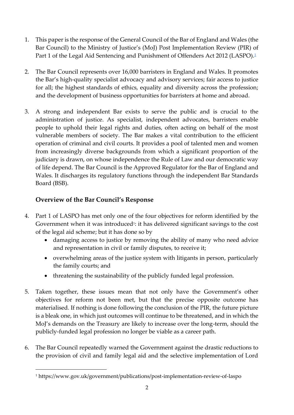- 1. This paper is the response of the General Council of the Bar of England and Wales (the Bar Council) to the Ministry of Justice's (MoJ) Post Implementation Review (PIR) of Part 1 of the Legal Aid Sentencing and Punishment of Offenders Act 2012 (LASPO).<sup>1</sup>
- 2. The Bar Council represents over 16,000 barristers in England and Wales. It promotes the Bar's high-quality specialist advocacy and advisory services; fair access to justice for all; the highest standards of ethics, equality and diversity across the profession; and the development of business opportunities for barristers at home and abroad.
- 3. A strong and independent Bar exists to serve the public and is crucial to the administration of justice. As specialist, independent advocates, barristers enable people to uphold their legal rights and duties, often acting on behalf of the most vulnerable members of society. The Bar makes a vital contribution to the efficient operation of criminal and civil courts. It provides a pool of talented men and women from increasingly diverse backgrounds from which a significant proportion of the judiciary is drawn, on whose independence the Rule of Law and our democratic way of life depend. The Bar Council is the Approved Regulator for the Bar of England and Wales. It discharges its regulatory functions through the independent Bar Standards Board (BSB).

# **Overview of the Bar Council's Response**

**.** 

- 4. Part 1 of LASPO has met only one of the four objectives for reform identified by the Government when it was introduced<sup>1</sup>: it has delivered significant savings to the cost of the legal aid scheme; but it has done so by
	- damaging access to justice by removing the ability of many who need advice and representation in civil or family disputes, to receive it;
	- overwhelming areas of the justice system with litigants in person, particularly the family courts; and
	- threatening the sustainability of the publicly funded legal profession.
- 5. Taken together, these issues mean that not only have the Government's other objectives for reform not been met, but that the precise opposite outcome has materialised. If nothing is done following the conclusion of the PIR, the future picture is a bleak one, in which just outcomes will continue to be threatened, and in which the MoJ's demands on the Treasury are likely to increase over the long-term, should the publicly-funded legal profession no longer be viable as a career path.
- 6. The Bar Council repeatedly warned the Government against the drastic reductions to the provision of civil and family legal aid and the selective implementation of Lord

<sup>1</sup> https://www.gov.uk/government/publications/post-implementation-review-of-laspo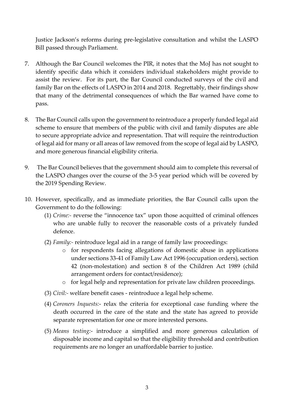Justice Jackson's reforms during pre-legislative consultation and whilst the LASPO Bill passed through Parliament.

- 7. Although the Bar Council welcomes the PIR, it notes that the MoJ has not sought to identify specific data which it considers individual stakeholders might provide to assist the review. For its part, the Bar Council conducted surveys of the civil and family Bar on the effects of LASPO in 2014 and 2018. Regrettably, their findings show that many of the detrimental consequences of which the Bar warned have come to pass.
- 8. The Bar Council calls upon the government to reintroduce a properly funded legal aid scheme to ensure that members of the public with civil and family disputes are able to secure appropriate advice and representation. That will require the reintroduction of legal aid for many or all areas of law removed from the scope of legal aid by LASPO, and more generous financial eligibility criteria.
- 9. The Bar Council believes that the government should aim to complete this reversal of the LASPO changes over the course of the 3-5 year period which will be covered by the 2019 Spending Review.
- 10. However, specifically, and as immediate priorities, the Bar Council calls upon the Government to do the following:
	- (1) *Crime:-* reverse the "innocence tax" upon those acquitted of criminal offences who are unable fully to recover the reasonable costs of a privately funded defence.
	- (2) *Family:-* reintroduce legal aid in a range of family law proceedings:
		- o for respondents facing allegations of domestic abuse in applications under sections 33-41 of Family Law Act 1996 (occupation orders), section 42 (non-molestation) and section 8 of the Children Act 1989 (child arrangement orders for contact/residence);
		- o for legal help and representation for private law children proceedings.
	- (3) *Civil:-* welfare benefit cases reintroduce a legal help scheme.
	- (4) *Coroners Inquests:* relax the criteria for exceptional case funding where the death occurred in the care of the state and the state has agreed to provide separate representation for one or more interested persons.
	- (5) *Means testing:* introduce a simplified and more generous calculation of disposable income and capital so that the eligibility threshold and contribution requirements are no longer an unaffordable barrier to justice.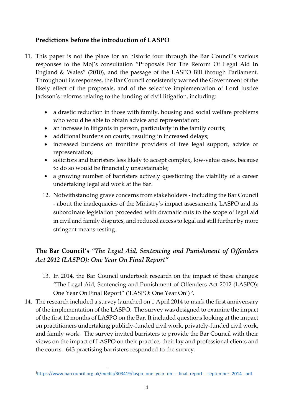# **Predictions before the introduction of LASPO**

- 11. This paper is not the place for an historic tour through the Bar Council's various responses to the MoJ's consultation "Proposals For The Reform Of Legal Aid In England & Wales" (2010), and the passage of the LASPO Bill through Parliament. Throughout its responses, the Bar Council consistently warned the Government of the likely effect of the proposals, and of the selective implementation of Lord Justice Jackson's reforms relating to the funding of civil litigation, including:
	- a drastic reduction in those with family, housing and social welfare problems who would be able to obtain advice and representation;
	- an increase in litigants in person, particularly in the family courts;
	- additional burdens on courts, resulting in increased delays;
	- increased burdens on frontline providers of free legal support, advice or representation;
	- solicitors and barristers less likely to accept complex, low-value cases, because to do so would be financially unsustainable;
	- a growing number of barristers actively questioning the viability of a career undertaking legal aid work at the Bar.
	- 12. Notwithstanding grave concerns from stakeholders including the Bar Council - about the inadequacies of the Ministry's impact assessments, LASPO and its subordinate legislation proceeded with dramatic cuts to the scope of legal aid in civil and family disputes, and reduced access to legal aid still further by more stringent means-testing.

# **The Bar Council's** *"The Legal Aid, Sentencing and Punishment of Offenders Act 2012 (LASPO): One Year On Final Report"*

- 13. In 2014, the Bar Council undertook research on the impact of these changes: "The Legal Aid, Sentencing and Punishment of Offenders Act 2012 (LASPO): One Year On Final Report" ('LASPO: One Year On')<sup>2</sup>.
- 14. The research included a survey launched on 1 April 2014 to mark the first anniversary of the implementation of the LASPO. The survey was designed to examine the impact of the first 12 months of LASPO on the Bar. It included questions looking at the impact on practitioners undertaking publicly-funded civil work, privately-funded civil work, and family work. The survey invited barristers to provide the Bar Council with their views on the impact of LASPO on their practice, their lay and professional clients and the courts. 643 practising barristers responded to the survey.

**.** 

<sup>&</sup>lt;sup>2</sup>https://www.barcouncil.org.uk/media/303419/laspo\_one\_year\_on\_-\_final\_report\_\_september\_2014\_.pdf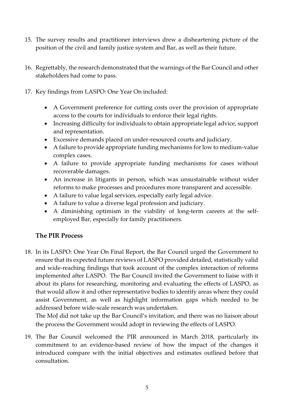- 15. The survey results and practitioner interviews drew a disheartening picture of the position of the civil and family justice system and Bar, as well as their future.
- 16. Regrettably, the research demonstrated that the warnings of the Bar Council and other stakeholders had come to pass.
- 17. Key findings from LASPO: One Year On included:
	- A Government preference for cutting costs over the provision of appropriate access to the courts for individuals to enforce their legal rights.
	- Increasing difficulty for individuals to obtain appropriate legal advice, support and representation.
	- Excessive demands placed on under-resourced courts and judiciary.
	- A failure to provide appropriate funding mechanisms for low to medium-value complex cases.
	- A failure to provide appropriate funding mechanisms for cases without recoverable damages.
	- An increase in litigants in person, which was unsustainable without wider reforms to make processes and procedures more transparent and accessible.
	- A failure to value legal services, especially early legal advice.
	- A failure to value a diverse legal profession and judiciary.
	- A diminishing optimism in the viability of long-term careers at the selfemployed Bar, especially for family practitioners.

#### **The PIR Process**

18. In its LASPO: One Year On Final Report, the Bar Council urged the Government to ensure that its expected future reviews of LASPO provided detailed, statistically valid and wide-reaching findings that took account of the complex interaction of reforms implemented after LASPO. The Bar Council invited the Government to liaise with it about its plans for researching, monitoring and evaluating the effects of LASPO, as that would allow it and other representative bodies to identify areas where they could assist Government, as well as highlight information gaps which needed to be addressed before wide-scale research was undertaken.

The MoJ did not take up the Bar Council's invitation, and there was no liaison about the process the Government would adopt in reviewing the effects of LASPO.

19. The Bar Council welcomed the PIR announced in March 2018, particularly its commitment to an evidence-based review of how the impact of the changes it introduced compare with the initial objectives and estimates outlined before that consultation.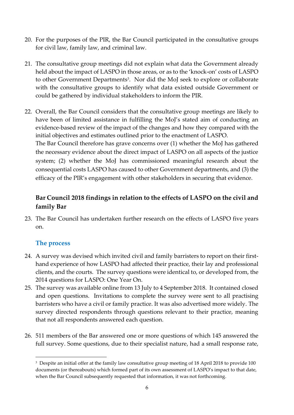- 20. For the purposes of the PIR, the Bar Council participated in the consultative groups for civil law, family law, and criminal law.
- 21. The consultative group meetings did not explain what data the Government already held about the impact of LASPO in those areas, or as to the 'knock-on' costs of LASPO to other Government Departments<sup>3</sup>. Nor did the MoJ seek to explore or collaborate with the consultative groups to identify what data existed outside Government or could be gathered by individual stakeholders to inform the PIR.
- 22. Overall, the Bar Council considers that the consultative group meetings are likely to have been of limited assistance in fulfilling the MoJ's stated aim of conducting an evidence-based review of the impact of the changes and how they compared with the initial objectives and estimates outlined prior to the enactment of LASPO. The Bar Council therefore has grave concerns over (1) whether the MoJ has gathered the necessary evidence about the direct impact of LASPO on all aspects of the justice system; (2) whether the MoJ has commissioned meaningful research about the consequential costs LASPO has caused to other Government departments, and (3) the

efficacy of the PIR's engagement with other stakeholders in securing that evidence.

# **Bar Council 2018 findings in relation to the effects of LASPO on the civil and family Bar**

23. The Bar Council has undertaken further research on the effects of LASPO five years on.

#### **The process**

**.** 

- 24. A survey was devised which invited civil and family barristers to report on their firsthand experience of how LASPO had affected their practice, their lay and professional clients, and the courts. The survey questions were identical to, or developed from, the 2014 questions for LASPO: One Year On.
- 25. The survey was available online from 13 July to 4 September 2018. It contained closed and open questions. Invitations to complete the survey were sent to all practising barristers who have a civil or family practice. It was also advertised more widely. The survey directed respondents through questions relevant to their practice, meaning that not all respondents answered each question.
- 26. 511 members of the Bar answered one or more questions of which 145 answered the full survey. Some questions, due to their specialist nature, had a small response rate,

<sup>3</sup> Despite an initial offer at the family law consultative group meeting of 18 April 2018 to provide 100 documents (or thereabouts) which formed part of its own assessment of LASPO's impact to that date, when the Bar Council subsequently requested that information, it was not forthcoming.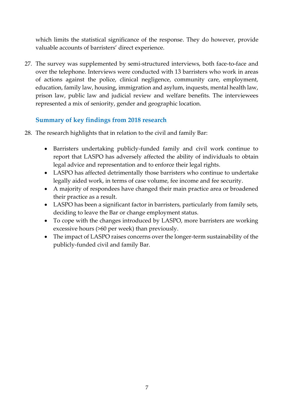which limits the statistical significance of the response. They do however, provide valuable accounts of barristers' direct experience.

27. The survey was supplemented by semi-structured interviews, both face-to-face and over the telephone. Interviews were conducted with 13 barristers who work in areas of actions against the police, clinical negligence, community care, employment, education, family law, housing, immigration and asylum, inquests, mental health law, prison law, public law and judicial review and welfare benefits. The interviewees represented a mix of seniority, gender and geographic location.

# **Summary of key findings from 2018 research**

- 28. The research highlights that in relation to the civil and family Bar:
	- Barristers undertaking publicly-funded family and civil work continue to report that LASPO has adversely affected the ability of individuals to obtain legal advice and representation and to enforce their legal rights.
	- LASPO has affected detrimentally those barristers who continue to undertake legally aided work, in terms of case volume, fee income and fee security.
	- A majority of respondees have changed their main practice area or broadened their practice as a result.
	- LASPO has been a significant factor in barristers, particularly from family sets, deciding to leave the Bar or change employment status.
	- To cope with the changes introduced by LASPO, more barristers are working excessive hours (>60 per week) than previously.
	- The impact of LASPO raises concerns over the longer-term sustainability of the publicly-funded civil and family Bar.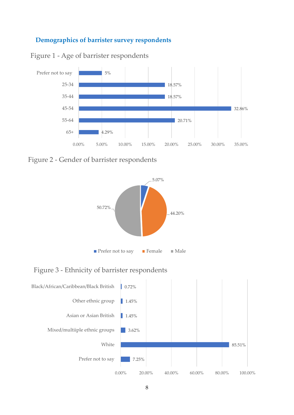# **Demographics of barrister survey respondents**

Figure 1 - Age of barrister respondents



Figure 2 - Gender of barrister respondents



Figure 3 - Ethnicity of barrister respondents

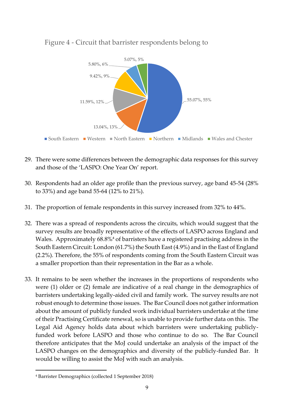

# Figure 4 - Circuit that barrister respondents belong to

- 29. There were some differences between the demographic data responses for this survey and those of the 'LASPO: One Year On' report.
- 30. Respondents had an older age profile than the previous survey, age band 45-54 (28% to 33%) and age band 55-64 (12% to 21%).
- 31. The proportion of female respondents in this survey increased from 32% to 44%.
- 32. There was a spread of respondents across the circuits, which would suggest that the survey results are broadly representative of the effects of LASPO across England and Wales. Approximately 68.8%<sup>4</sup> of barristers have a registered practising address in the South Eastern Circuit: London (61.7%) the South East (4.9%) and in the East of England (2.2%). Therefore, the 55% of respondents coming from the South Eastern Circuit was a smaller proportion than their representation in the Bar as a whole.
- 33. It remains to be seen whether the increases in the proportions of respondents who were (1) older or (2) female are indicative of a real change in the demographics of barristers undertaking legally-aided civil and family work. The survey results are not robust enough to determine those issues. The Bar Council does not gather information about the amount of publicly funded work individual barristers undertake at the time of their Practising Certificate renewal, so is unable to provide further data on this. The Legal Aid Agency holds data about which barristers were undertaking publiclyfunded work before LASPO and those who continue to do so. The Bar Council therefore anticipates that the MoJ could undertake an analysis of the impact of the LASPO changes on the demographics and diversity of the publicly-funded Bar. It would be willing to assist the MoJ with such an analysis.

 $\overline{a}$ <sup>4</sup> Barrister Demographics (collected 1 September 2018)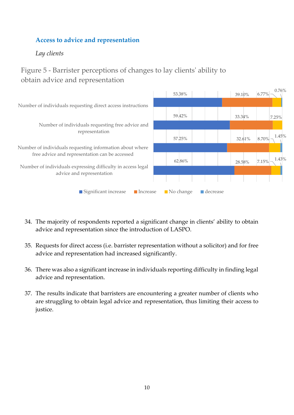# **Access to advice and representation**

*Lay clients*

# Figure 5 - Barrister perceptions of changes to lay clients' ability to obtain advice and representation



- 34. The majority of respondents reported a significant change in clients' ability to obtain advice and representation since the introduction of LASPO.
- 35. Requests for direct access (i.e. barrister representation without a solicitor) and for free advice and representation had increased significantly.
- 36. There was also a significant increase in individuals reporting difficulty in finding legal advice and representation.
- 37. The results indicate that barristers are encountering a greater number of clients who are struggling to obtain legal advice and representation, thus limiting their access to justice.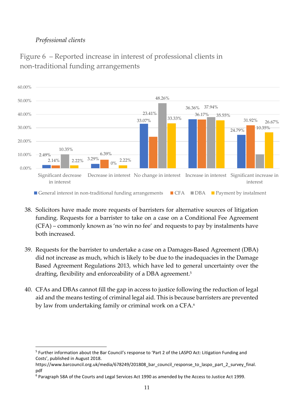# *Professional clients*

**.** 



Figure 6 – Reported increase in interest of professional clients in non-traditional funding arrangements

- 38. Solicitors have made more requests of barristers for alternative sources of litigation funding. Requests for a barrister to take on a case on a Conditional Fee Agreement (CFA) – commonly known as 'no win no fee' and requests to pay by instalments have both increased.
- 39. Requests for the barrister to undertake a case on a Damages-Based Agreement (DBA) did not increase as much, which is likely to be due to the inadequacies in the Damage Based Agreement Regulations 2013, which have led to general uncertainty over the drafting, flexibility and enforceability of a DBA agreement.<sup>5</sup>
- 40. CFAs and DBAs cannot fill the gap in access to justice following the reduction of legal aid and the means testing of criminal legal aid. This is because barristers are prevented by law from undertaking family or criminal work on a CFA.<sup>6</sup>

<sup>&</sup>lt;sup>5</sup> Further information about the Bar Council's response to 'Part 2 of the LASPO Act: Litigation Funding and Costs', published in August 2018.

https://www.barcouncil.org.uk/media/678249/201808\_bar\_council\_response\_to\_laspo\_part\_2\_survey\_final. pdf

<sup>6</sup> Paragraph 58A of the Courts and Legal Services Act 1990 as amended by the Access to Justice Act 1999.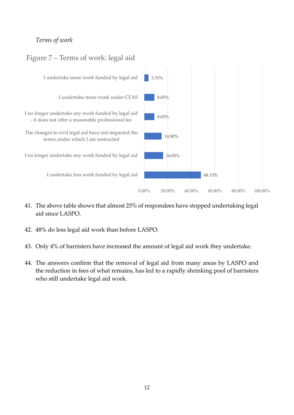# *Terms of work*

# Figure 7 – Terms of work: legal aid



- 41. The above table shows that almost 25% of respondees have stopped undertaking legal aid since LASPO.
- 42. 48% do less legal aid work than before LASPO.
- 43. Only 4% of barristers have increased the amount of legal aid work they undertake.
- 44. The answers confirm that the removal of legal aid from many areas by LASPO and the reduction in fees of what remains, has led to a rapidly shrinking pool of barristers who still undertake legal aid work.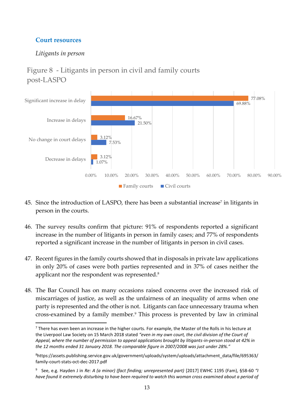# **Court resources**

# *Litigants in person*

# Figure 8 - Litigants in person in civil and family courts post-LASPO



- 45. Since the introduction of LASPO, there has been a substantial increase<sup>7</sup> in litigants in person in the courts.
- 46. The survey results confirm that picture: 91% of respondents reported a significant increase in the number of litigants in person in family cases; and 77% of respondents reported a significant increase in the number of litigants in person in civil cases.
- 47. Recent figures in the family courts showed that in disposals in private law applications in only 20% of cases were both parties represented and in 37% of cases neither the applicant nor the respondent was represented. 8
- 48. The Bar Council has on many occasions raised concerns over the increased risk of miscarriages of justice, as well as the unfairness of an inequality of arms when one party is represented and the other is not. Litigants can face unnecessary trauma when cross-examined by a family member.<sup>9</sup> This process is prevented by law in criminal

<sup>1</sup> <sup>7</sup> There has even been an increase in the higher courts. For example, the Master of the Rolls in his lecture at the Liverpool Law Society on 15 March 2018 stated *"even in my own court, the civil division of the Court of Appeal, where the number of permission to appeal applications brought by litigants-in-person stood at 42% in the 12 months ended 31 January 2018. The comparable figure in 2007/2008 was just under 28%."*

<sup>8</sup>https://assets.publishing.service.gov.uk/government/uploads/system/uploads/attachment\_data/file/695363/ family-court-stats-oct-dec-2017.pdf

<sup>&</sup>lt;sup>9</sup> See, e.g. Hayden J in *Re: A (a minor) (fact finding; unrepresented part)* [2017] EWHC 1195 (Fam), §58-60 "*I have found it extremely disturbing to have been required to watch this woman cross examined about a period of*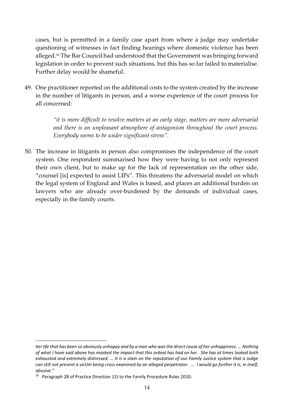cases, but is permitted in a family case apart from where a judge may undertake questioning of witnesses in fact finding hearings where domestic violence has been alleged. <sup>10</sup> The Bar Council had understood that the Government was bringing forward legislation in order to prevent such situations, but this has so far failed to materialise. Further delay would be shameful.

49. One practitioner reported on the additional costs to the system created by the increase in the number of litigants in person, and a worse experience of the court process for all concerned:

> *"it is more difficult to resolve matters at an early stage, matters are more adversarial and there is an unpleasant atmosphere of antagonism throughout the court process. Everybody seems to be under significant stress".*

50. The increase in litigants in person also compromises the independence of the court system. One respondent summarised how they were having to not only represent their own client, but to make up for the lack of representation on the other side, "counsel [is] expected to assist LIPs". This threatens the adversarial model on which the legal system of England and Wales is based, and places an additional burden on lawyers who are already over-burdened by the demands of individual cases, especially in the family courts.

**.** 

*her life that has been so obviously unhappy and by a man who was the direct cause of her unhappiness. … Nothing of what I have said above has masked the impact that this ordeal has had on her. She has at times looked both exhausted and extremely distressed. … It is a stain on the reputation of our Family Justice system that a Judge can still not prevent a victim being cross examined by an alleged perpetrator. … I would go further it is, in itself, abusive."*

<sup>&</sup>lt;sup>10</sup> Paragraph 28 of Practice Direction 12J to the Family Procedure Rules 2010.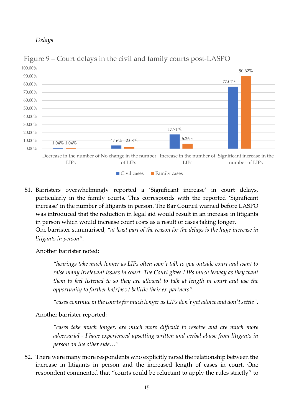*Delays* 



Figure 9 – Court delays in the civil and family courts post-LASPO

51. Barristers overwhelmingly reported a 'Significant increase' in court delays, particularly in the family courts. This corresponds with the reported 'Significant increase' in the number of litigants in person. The Bar Council warned before LASPO was introduced that the reduction in legal aid would result in an increase in litigants in person which would increase court costs as a result of cases taking longer. One barrister summarised, *"at least part of the reason for the delays is the huge increase in litigants in person"*.

Another barrister noted:

*"hearings take much longer as LIPs often won't talk to you outside court and want to raise many irrelevant issues in court. The Court gives LIPs much leeway as they want them to feel listened to so they are allowed to talk at length in court and use the opportunity to further ha[r]ass / belittle their ex-partners".* 

*"cases continue in the courts for much longer as LIPs don't get advice and don't settle".*

Another barrister reported:

*"cases take much longer, are much more difficult to resolve and are much more adversarial - I have experienced upsetting written and verbal abuse from litigants in person on the other side…"* 

52. There were many more respondents who explicitly noted the relationship between the increase in litigants in person and the increased length of cases in court. One respondent commented that "courts could be reluctant to apply the rules strictly" to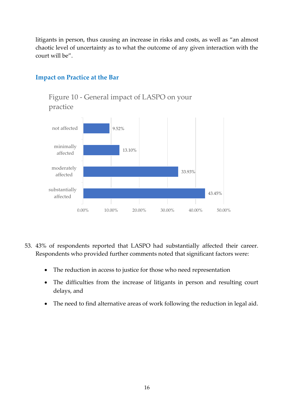litigants in person, thus causing an increase in risks and costs, as well as "an almost chaotic level of uncertainty as to what the outcome of any given interaction with the court will be".



Figure 10 - General impact of LASPO on your

#### **Impact on Practice at the Bar**

- 53. 43% of respondents reported that LASPO had substantially affected their career. Respondents who provided further comments noted that significant factors were:
	- The reduction in access to justice for those who need representation
	- The difficulties from the increase of litigants in person and resulting court delays, and
	- The need to find alternative areas of work following the reduction in legal aid.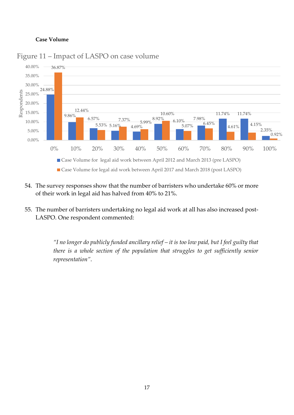#### **Case Volume**



#### Figure 11 – Impact of LASPO on case volume

- 54. The survey responses show that the number of barristers who undertake 60% or more of their work in legal aid has halved from 40% to 21%.
- 55. The number of barristers undertaking no legal aid work at all has also increased post-LASPO. One respondent commented:

*"I no longer do publicly funded ancillary relief – it is too low paid, but I feel guilty that there is a whole section of the population that struggles to get sufficiently senior representation"*.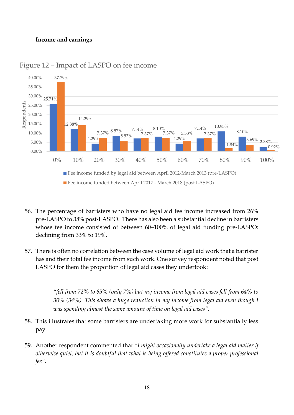#### **Income and earnings**



#### Figure 12 – Impact of LASPO on fee income

- 56. The percentage of barristers who have no legal aid fee income increased from 26% pre-LASPO to 38% post-LASPO. There has also been a substantial decline in barristers whose fee income consisted of between 60–100% of legal aid funding pre-LASPO: declining from 33% to 19%.
- 57. There is often no correlation between the case volume of legal aid work that a barrister has and their total fee income from such work. One survey respondent noted that post LASPO for them the proportion of legal aid cases they undertook:

*"fell from 72% to 65% (only 7%) but my income from legal aid cases fell from 64% to 30% (34%). This shows a huge reduction in my income from legal aid even though I was spending almost the same amount of time on legal aid cases"*.

- 58. This illustrates that some barristers are undertaking more work for substantially less pay.
- 59. Another respondent commented that *"I might occasionally undertake a legal aid matter if otherwise quiet, but it is doubtful that what is being offered constitutes a proper professional fee"*.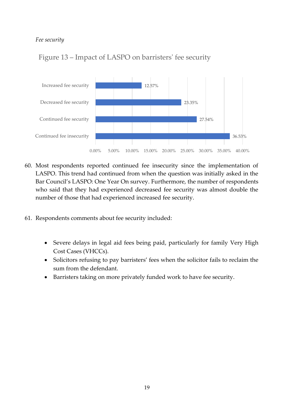#### *Fee security*



# Figure 13 – Impact of LASPO on barristers' fee security

- 60. Most respondents reported continued fee insecurity since the implementation of LASPO. This trend had continued from when the question was initially asked in the Bar Council's LASPO: One Year On survey. Furthermore, the number of respondents who said that they had experienced decreased fee security was almost double the number of those that had experienced increased fee security.
- 61. Respondents comments about fee security included:
	- Severe delays in legal aid fees being paid, particularly for family Very High Cost Cases (VHCCs).
	- Solicitors refusing to pay barristers' fees when the solicitor fails to reclaim the sum from the defendant.
	- Barristers taking on more privately funded work to have fee security.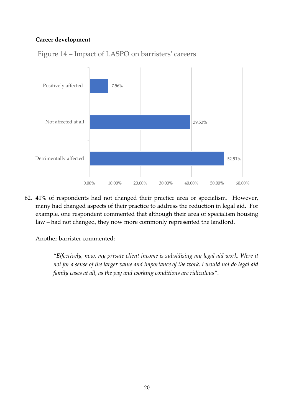#### **Career development**



Figure 14 – Impact of LASPO on barristers' careers

62. 41% of respondents had not changed their practice area or specialism. However, many had changed aspects of their practice to address the reduction in legal aid. For example, one respondent commented that although their area of specialism housing law – had not changed, they now more commonly represented the landlord.

Another barrister commented:

*"Effectively, now, my private client income is subsidising my legal aid work. Were it not for a sense of the larger value and importance of the work, I would not do legal aid family cases at all, as the pay and working conditions are ridiculous"*.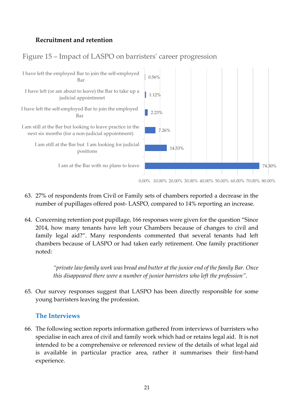# **Recruitment and retention**

# Figure 15 – Impact of LASPO on barristers' career progression



- 63. 27% of respondents from Civil or Family sets of chambers reported a decrease in the number of pupillages offered post- LASPO, compared to 14% reporting an increase.
- 64. Concerning retention post pupillage, 166 responses were given for the question "Since 2014, how many tenants have left your Chambers because of changes to civil and family legal aid?". Many respondents commented that several tenants had left chambers because of LASPO or had taken early retirement. One family practitioner noted:

*"private law family work was bread and butter at the junior end of the family Bar. Once this disappeared there were a number of junior barristers who left the profession"*.

65. Our survey responses suggest that LASPO has been directly responsible for some young barristers leaving the profession.

#### **The Interviews**

66. The following section reports information gathered from interviews of barristers who specialise in each area of civil and family work which had or retains legal aid. It is not intended to be a comprehensive or referenced review of the details of what legal aid is available in particular practice area, rather it summarises their first-hand experience.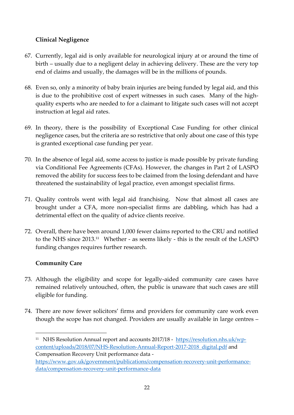### **Clinical Negligence**

- 67. Currently, legal aid is only available for neurological injury at or around the time of birth – usually due to a negligent delay in achieving delivery. These are the very top end of claims and usually, the damages will be in the millions of pounds.
- 68. Even so, only a minority of baby brain injuries are being funded by legal aid, and this is due to the prohibitive cost of expert witnesses in such cases. Many of the highquality experts who are needed to for a claimant to litigate such cases will not accept instruction at legal aid rates.
- 69. In theory, there is the possibility of Exceptional Case Funding for other clinical negligence cases, but the criteria are so restrictive that only about one case of this type is granted exceptional case funding per year.
- 70. In the absence of legal aid, some access to justice is made possible by private funding via Conditional Fee Agreements (CFAs). However, the changes in Part 2 of LASPO removed the ability for success fees to be claimed from the losing defendant and have threatened the sustainability of legal practice, even amongst specialist firms.
- 71. Quality controls went with legal aid franchising. Now that almost all cases are brought under a CFA, more non-specialist firms are dabbling, which has had a detrimental effect on the quality of advice clients receive.
- 72. Overall, there have been around 1,000 fewer claims reported to the CRU and notified to the NHS since 2013.<sup>11</sup> Whether - as seems likely - this is the result of the LASPO funding changes requires further research.

#### **Community Care**

1

- 73. Although the eligibility and scope for legally-aided community care cases have remained relatively untouched, often, the public is unaware that such cases are still eligible for funding.
- 74. There are now fewer solicitors' firms and providers for community care work even though the scope has not changed. Providers are usually available in large centres –

<sup>&</sup>lt;sup>11</sup> NHS Resolution Annual report and accounts 2017/18 - <u>https://resolution.nhs.uk/wp-</u> [content/uploads/2018/07/NHS-Resolution-Annual-Report-2017-2018\\_digital.pdf](https://resolution.nhs.uk/wp-content/uploads/2018/07/NHS-Resolution-Annual-Report-2017-2018_digital.pdf) and Compensation Recovery Unit performance data [https://www.gov.uk/government/publications/compensation-recovery-unit-performance](https://www.gov.uk/government/publications/compensation-recovery-unit-performance-data/compensation-recovery-unit-performance-data)[data/compensation-recovery-unit-performance-data](https://www.gov.uk/government/publications/compensation-recovery-unit-performance-data/compensation-recovery-unit-performance-data)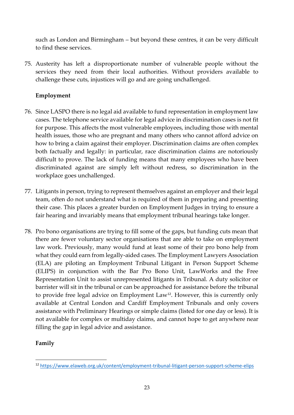such as London and Birmingham – but beyond these centres, it can be very difficult to find these services.

75. Austerity has left a disproportionate number of vulnerable people without the services they need from their local authorities. Without providers available to challenge these cuts, injustices will go and are going unchallenged.

#### **Employment**

- 76. Since LASPO there is no legal aid available to fund representation in employment law cases. The telephone service available for legal advice in discrimination cases is not fit for purpose. This affects the most vulnerable employees, including those with mental health issues, those who are pregnant and many others who cannot afford advice on how to bring a claim against their employer. Discrimination claims are often complex both factually and legally: in particular, race discrimination claims are notoriously difficult to prove. The lack of funding means that many employees who have been discriminated against are simply left without redress, so discrimination in the workplace goes unchallenged.
- 77. Litigants in person, trying to represent themselves against an employer and their legal team, often do not understand what is required of them in preparing and presenting their case. This places a greater burden on Employment Judges in trying to ensure a fair hearing and invariably means that employment tribunal hearings take longer.
- 78. Pro bono organisations are trying to fill some of the gaps, but funding cuts mean that there are fewer voluntary sector organisations that are able to take on employment law work. Previously, many would fund at least some of their pro bono help from what they could earn from legally-aided cases. The Employment Lawyers Association (ELA) are piloting an Employment Tribunal Litigant in Person Support Scheme (ELIPS) in conjunction with the Bar Pro Bono Unit, LawWorks and the Free Representation Unit to assist unrepresented litigants in Tribunal. A duty solicitor or barrister will sit in the tribunal or can be approached for assistance before the tribunal to provide free legal advice on Employment Law<sup>12</sup>. However, this is currently only available at Central London and Cardiff Employment Tribunals and only covers assistance with Preliminary Hearings or simple claims (listed for one day or less). It is not available for complex or multiday claims, and cannot hope to get anywhere near filling the gap in legal advice and assistance.

#### **Family**

1

<sup>&</sup>lt;sup>12</sup> <https://www.elaweb.org.uk/content/employment-tribunal-litigant-person-support-scheme-elips>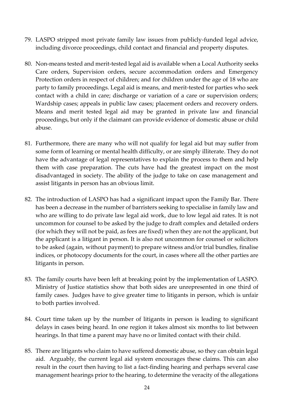- 79. LASPO stripped most private family law issues from publicly-funded legal advice, including divorce proceedings, child contact and financial and property disputes.
- 80. Non-means tested and merit-tested legal aid is available when a Local Authority seeks Care orders, Supervision orders, secure accommodation orders and Emergency Protection orders in respect of children; and for children under the age of 18 who are party to family proceedings. Legal aid is means, and merit-tested for parties who seek contact with a child in care; discharge or variation of a care or supervision orders; Wardship cases; appeals in public law cases; placement orders and recovery orders. Means and merit tested legal aid may be granted in private law and financial proceedings, but only if the claimant can provide evidence of domestic abuse or child abuse.
- 81. Furthermore, there are many who will not qualify for legal aid but may suffer from some form of learning or mental health difficulty, or are simply illiterate. They do not have the advantage of legal representatives to explain the process to them and help them with case preparation. The cuts have had the greatest impact on the most disadvantaged in society. The ability of the judge to take on case management and assist litigants in person has an obvious limit.
- 82. The introduction of LASPO has had a significant impact upon the Family Bar. There has been a decrease in the number of barristers seeking to specialise in family law and who are willing to do private law legal aid work, due to low legal aid rates. It is not uncommon for counsel to be asked by the judge to draft complex and detailed orders (for which they will not be paid, as fees are fixed) when they are not the applicant, but the applicant is a litigant in person. It is also not uncommon for counsel or solicitors to be asked (again, without payment) to prepare witness and/or trial bundles, finalise indices, or photocopy documents for the court, in cases where all the other parties are litigants in person.
- 83. The family courts have been left at breaking point by the implementation of LASPO. Ministry of Justice statistics show that both sides are unrepresented in one third of family cases. Judges have to give greater time to litigants in person, which is unfair to both parties involved.
- 84. Court time taken up by the number of litigants in person is leading to significant delays in cases being heard. In one region it takes almost six months to list between hearings. In that time a parent may have no or limited contact with their child.
- 85. There are litigants who claim to have suffered domestic abuse, so they can obtain legal aid. Arguably, the current legal aid system encourages these claims. This can also result in the court then having to list a fact-finding hearing and perhaps several case management hearings prior to the hearing, to determine the veracity of the allegations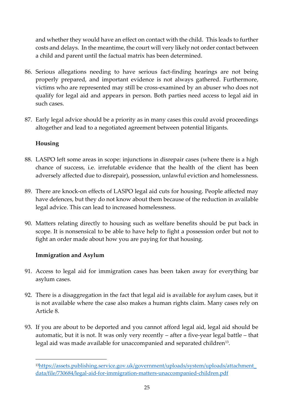and whether they would have an effect on contact with the child. This leads to further costs and delays. In the meantime, the court will very likely not order contact between a child and parent until the factual matrix has been determined.

- 86. Serious allegations needing to have serious fact-finding hearings are not being properly prepared, and important evidence is not always gathered. Furthermore, victims who are represented may still be cross-examined by an abuser who does not qualify for legal aid and appears in person. Both parties need access to legal aid in such cases.
- 87. Early legal advice should be a priority as in many cases this could avoid proceedings altogether and lead to a negotiated agreement between potential litigants.

#### **Housing**

1

- 88. LASPO left some areas in scope: injunctions in disrepair cases (where there is a high chance of success, i.e. irrefutable evidence that the health of the client has been adversely affected due to disrepair), possession, unlawful eviction and homelessness.
- 89. There are knock-on effects of LASPO legal aid cuts for housing. People affected may have defences, but they do not know about them because of the reduction in available legal advice. This can lead to increased homelessness.
- 90. Matters relating directly to housing such as welfare benefits should be put back in scope. It is nonsensical to be able to have help to fight a possession order but not to fight an order made about how you are paying for that housing.

#### **Immigration and Asylum**

- 91. Access to legal aid for immigration cases has been taken away for everything bar asylum cases.
- 92. There is a disaggregation in the fact that legal aid is available for asylum cases, but it is not available where the case also makes a human rights claim. Many cases rely on Article 8.
- 93. If you are about to be deported and you cannot afford legal aid, legal aid should be automatic, but it is not. It was only very recently – after a five-year legal battle – that legal aid was made available for unaccompanied and separated children<sup>13</sup>.

<sup>13</sup>[https://assets.publishing.service.gov.uk/government/uploads/system/uploads/attachment\\_](https://assets.publishing.service.gov.uk/government/uploads/system/uploads/attachment_data/file/730684/legal-aid-for-immigration-matters-unaccompanied-children.pdf) [data/file/730684/legal-aid-for-immigration-matters-unaccompanied-children.pdf](https://assets.publishing.service.gov.uk/government/uploads/system/uploads/attachment_data/file/730684/legal-aid-for-immigration-matters-unaccompanied-children.pdf)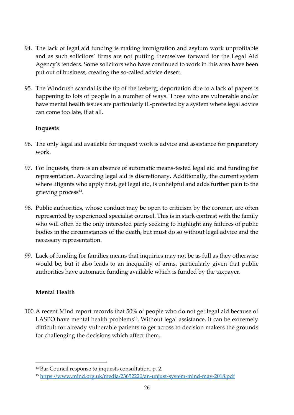- 94. The lack of legal aid funding is making immigration and asylum work unprofitable and as such solicitors' firms are not putting themselves forward for the Legal Aid Agency's tenders. Some solicitors who have continued to work in this area have been put out of business, creating the so-called advice desert.
- 95. The Windrush scandal is the tip of the iceberg; deportation due to a lack of papers is happening to lots of people in a number of ways. Those who are vulnerable and/or have mental health issues are particularly ill-protected by a system where legal advice can come too late, if at all.

#### **Inquests**

- 96. The only legal aid available for inquest work is advice and assistance for preparatory work.
- 97. For Inquests, there is an absence of automatic means-tested legal aid and funding for representation. Awarding legal aid is discretionary. Additionally, the current system where litigants who apply first, get legal aid, is unhelpful and adds further pain to the grieving process<sup>14</sup>.
- 98. Public authorities, whose conduct may be open to criticism by the coroner, are often represented by experienced specialist counsel. This is in stark contrast with the family who will often be the only interested party seeking to highlight any failures of public bodies in the circumstances of the death, but must do so without legal advice and the necessary representation.
- 99. Lack of funding for families means that inquiries may not be as full as they otherwise would be, but it also leads to an inequality of arms, particularly given that public authorities have automatic funding available which is funded by the taxpayer.

#### **Mental Health**

1

100.A recent Mind report records that 50% of people who do not get legal aid because of LASPO have mental health problems<sup>15</sup>. Without legal assistance, it can be extremely difficult for already vulnerable patients to get across to decision makers the grounds for challenging the decisions which affect them.

<sup>14</sup> Bar Council response to inquests consultation, p. 2.

<sup>15</sup> <https://www.mind.org.uk/media/23652220/an-unjust-system-mind-may-2018.pdf>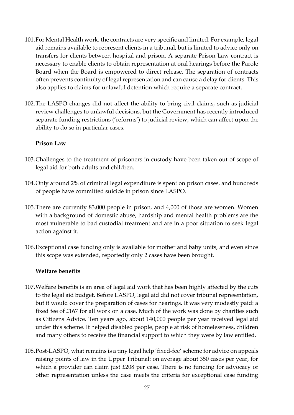- 101.For Mental Health work, the contracts are very specific and limited. For example, legal aid remains available to represent clients in a tribunal, but is limited to advice only on transfers for clients between hospital and prison. A separate Prison Law contract is necessary to enable clients to obtain representation at oral hearings before the Parole Board when the Board is empowered to direct release. The separation of contracts often prevents continuity of legal representation and can cause a delay for clients. This also applies to claims for unlawful detention which require a separate contract.
- 102.The LASPO changes did not affect the ability to bring civil claims, such as judicial review challenges to unlawful decisions, but the Government has recently introduced separate funding restrictions ('reforms') to judicial review, which can affect upon the ability to do so in particular cases.

#### **Prison Law**

- 103.Challenges to the treatment of prisoners in custody have been taken out of scope of legal aid for both adults and children.
- 104.Only around 2% of criminal legal expenditure is spent on prison cases, and hundreds of people have committed suicide in prison since LASPO.
- 105.There are currently 83,000 people in prison, and 4,000 of those are women. Women with a background of domestic abuse, hardship and mental health problems are the most vulnerable to bad custodial treatment and are in a poor situation to seek legal action against it.
- 106.Exceptional case funding only is available for mother and baby units, and even since this scope was extended, reportedly only 2 cases have been brought.

#### **Welfare benefits**

- 107.Welfare benefits is an area of legal aid work that has been highly affected by the cuts to the legal aid budget. Before LASPO, legal aid did not cover tribunal representation, but it would cover the preparation of cases for hearings. It was very modestly paid: a fixed fee of £167 for all work on a case. Much of the work was done by charities such as Citizens Advice. Ten years ago, about 140,000 people per year received legal aid under this scheme. It helped disabled people, people at risk of homelessness, children and many others to receive the financial support to which they were by law entitled.
- 108.Post-LASPO, what remains is a tiny legal help 'fixed-fee' scheme for advice on appeals raising points of law in the Upper Tribunal: on average about 350 cases per year, for which a provider can claim just £208 per case. There is no funding for advocacy or other representation unless the case meets the criteria for exceptional case funding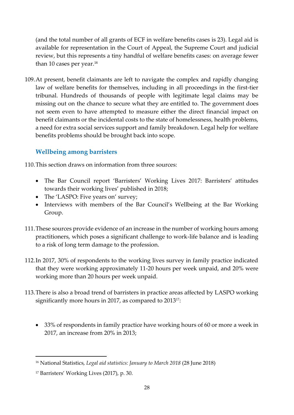(and the total number of all grants of ECF in welfare benefits cases is 23). Legal aid is available for representation in the Court of Appeal, the Supreme Court and judicial review, but this represents a tiny handful of welfare benefits cases: on average fewer than 10 cases per year.<sup>16</sup>

109.At present, benefit claimants are left to navigate the complex and rapidly changing law of welfare benefits for themselves, including in all proceedings in the first-tier tribunal. Hundreds of thousands of people with legitimate legal claims may be missing out on the chance to secure what they are entitled to. The government does not seem even to have attempted to measure either the direct financial impact on benefit claimants or the incidental costs to the state of homelessness, health problems, a need for extra social services support and family breakdown. Legal help for welfare benefits problems should be brought back into scope.

# **Wellbeing among barristers**

110.This section draws on information from three sources:

- The Bar Council report 'Barristers' Working Lives 2017: Barristers' attitudes towards their working lives' published in 2018;
- The 'LASPO: Five years on' survey;
- Interviews with members of the Bar Council's Wellbeing at the Bar Working Group.
- 111.These sources provide evidence of an increase in the number of working hours among practitioners, which poses a significant challenge to work-life balance and is leading to a risk of long term damage to the profession.
- 112.In 2017, 30% of respondents to the working lives survey in family practice indicated that they were working approximately 11-20 hours per week unpaid, and 20% were working more than 20 hours per week unpaid.
- 113.There is also a broad trend of barristers in practice areas affected by LASPO working significantly more hours in 2017, as compared to 2013<sup>17</sup>:
	- 33% of respondents in family practice have working hours of 60 or more a week in 2017, an increase from 20% in 2013;

1

<sup>16</sup> National Statistics, *Legal aid statistics: January to March 2018* (28 June 2018)

<sup>17</sup> Barristers' Working Lives (2017), p. 30.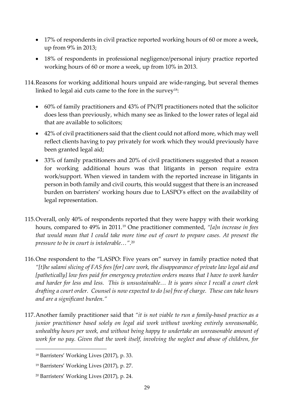- 17% of respondents in civil practice reported working hours of 60 or more a week, up from 9% in 2013;
- 18% of respondents in professional negligence/personal injury practice reported working hours of 60 or more a week, up from 10% in 2013.
- 114.Reasons for working additional hours unpaid are wide-ranging, but several themes linked to legal aid cuts came to the fore in the survey<sup>18</sup>:
	- 60% of family practitioners and 43% of PN/PI practitioners noted that the solicitor does less than previously, which many see as linked to the lower rates of legal aid that are available to solicitors;
	- 42% of civil practitioners said that the client could not afford more, which may well reflect clients having to pay privately for work which they would previously have been granted legal aid;
	- 33% of family practitioners and 20% of civil practitioners suggested that a reason for working additional hours was that litigants in person require extra work/support. When viewed in tandem with the reported increase in litigants in person in both family and civil courts, this would suggest that there is an increased burden on barristers' working hours due to LASPO's effect on the availability of legal representation.
- 115.Overall, only 40% of respondents reported that they were happy with their working hours, compared to 49% in 2011.<sup>19</sup> One practitioner commented, *"[a]n increase in fees that would mean that I could take more time out of court to prepare cases. At present the pressure to be in court is intolerable…"*. 20
- 116.One respondent to the "LASPO: Five years on" survey in family practice noted that *"[t]he salami slicing of FAS fees [for] care work, the disappearance of private law legal aid and [pathetically] low fees paid for emergency protection orders means that I have to work harder and harder for less and less. This is unsustainable… It is years since I recall a court clerk drafting a court order. Counsel is now expected to do [so] free of charge. These can take hours and are a significant burden."*
- 117.Another family practitioner said that *"it is not viable to run a family-based practice as a junior practitioner based solely on legal aid work without working entirely unreasonable, unhealthy hours per week, and without being happy to undertake an unreasonable amount of work for no pay. Given that the work itself, involving the neglect and abuse of children, for*

**.** 

<sup>18</sup> Barristers' Working Lives (2017), p. 33.

<sup>19</sup> Barristers' Working Lives (2017), p. 27.

<sup>20</sup> Barristers' Working Lives (2017), p. 24.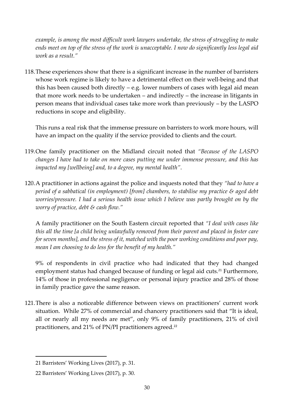*example, is among the most difficult work lawyers undertake, the stress of struggling to make ends meet on top of the stress of the work is unacceptable. I now do significantly less legal aid work as a result."*

118.These experiences show that there is a significant increase in the number of barristers whose work regime is likely to have a detrimental effect on their well-being and that this has been caused both directly  $-$  e.g. lower numbers of cases with legal aid mean that more work needs to be undertaken – and indirectly – the increase in litigants in person means that individual cases take more work than previously – by the LASPO reductions in scope and eligibility.

This runs a real risk that the immense pressure on barristers to work more hours, will have an impact on the quality if the service provided to clients and the court.

- 119.One family practitioner on the Midland circuit noted that *"Because of the LASPO changes I have had to take on more cases putting me under immense pressure, and this has impacted my [wellbeing] and, to a degree, my mental health"*.
- 120.A practitioner in actions against the police and inquests noted that they *"had to have a period of a sabbatical (in employment) [from] chambers, to stabilise my practice & aged debt worries/pressure. I had a serious health issue which I believe was partly brought on by the worry of practice, debt & cash flow."*

A family practitioner on the South Eastern circuit reported that *"I deal with cases like this all the time [a child being unlawfully removed from their parent and placed in foster care for seven months], and the stress of it, matched with the poor working conditions and poor pay, mean I am choosing to do less for the benefit of my health."*

9% of respondents in civil practice who had indicated that they had changed employment status had changed because of funding or legal aid cuts.<sup>21</sup> Furthermore, 14% of those in professional negligence or personal injury practice and 28% of those in family practice gave the same reason.

121.There is also a noticeable difference between views on practitioners' current work situation. While 27% of commercial and chancery practitioners said that "It is ideal, all or nearly all my needs are met", only 9% of family practitioners, 21% of civil practitioners, and 21% of PN/PI practitioners agreed.<sup>22</sup>

1

<sup>21</sup> Barristers' Working Lives (2017), p. 31.

<sup>22</sup> Barristers' Working Lives (2017), p. 30.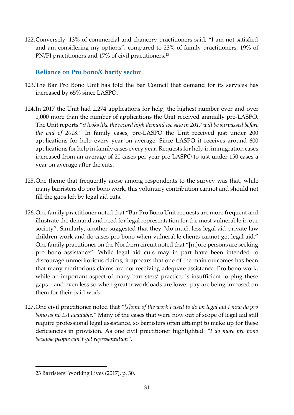122.Conversely, 13% of commercial and chancery practitioners said, "I am not satisfied and am considering my options", compared to 23% of family practitioners, 19% of PN/PI practitioners and 17% of civil practitioners.<sup>23</sup>

# **Reliance on Pro bono/Charity sector**

- 123.The Bar Pro Bono Unit has told the Bar Council that demand for its services has increased by 65% since LASPO.
- 124.In 2017 the Unit had 2,274 applications for help, the highest number ever and over 1,000 more than the number of applications the Unit received annually pre-LASPO. The Unit reports *"it looks like the record high demand we saw in 2017 will be surpassed before the end of 2018."* In family cases, pre-LASPO the Unit received just under 200 applications for help every year on average. Since LASPO it receives around 600 applications for help in family cases every year. Requests for help in immigration cases increased from an average of 20 cases per year pre LASPO to just under 150 cases a year on average after the cuts.
- 125.One theme that frequently arose among respondents to the survey was that, while many barristers do pro bono work, this voluntary contribution cannot and should not fill the gaps left by legal aid cuts.
- 126.One family practitioner noted that "Bar Pro Bono Unit requests are more frequent and illustrate the demand and need for legal representation for the most vulnerable in our society". Similarly, another suggested that they "do much less legal aid private law children work and do cases pro bono when vulnerable clients cannot get legal aid." One family practitioner on the Northern circuit noted that "[m]ore persons are seeking pro bono assistance". While legal aid cuts may in part have been intended to discourage unmeritorious claims, it appears that one of the main outcomes has been that many meritorious claims are not receiving adequate assistance. Pro bono work, while an important aspect of many barristers' practice, is insufficient to plug these gaps – and even less so when greater workloads are lower pay are being imposed on them for their paid work.
- 127.One civil practitioner noted that *"[s]ome of the work I used to do on legal aid I now do pro bono as no LA available."* Many of the cases that were now out of scope of legal aid still require professional legal assistance, so barristers often attempt to make up for these deficiencies in provision. As one civil practitioner highlighted: *"I do more pro bono because people can't get representation".*

**.** 

<sup>23</sup> Barristers' Working Lives (2017), p. 30.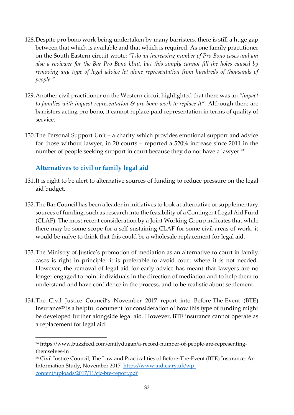- 128.Despite pro bono work being undertaken by many barristers, there is still a huge gap between that which is available and that which is required. As one family practitioner on the South Eastern circuit wrote: *"I do an increasing number of Pro Bono cases and am also a reviewer for the Bar Pro Bono Unit, but this simply cannot fill the holes caused by removing any type of legal advice let alone representation from hundreds of thousands of people."*
- 129.Another civil practitioner on the Western circuit highlighted that there was an *"impact to families with inquest representation & pro bono work to replace it".* Although there are barristers acting pro bono, it cannot replace paid representation in terms of quality of service.
- 130.The Personal Support Unit a charity which provides emotional support and advice for those without lawyer, in 20 courts – reported a 520% increase since 2011 in the number of people seeking support in court because they do not have a lawyer.<sup>24</sup>

# **Alternatives to civil or family legal aid**

 $\overline{a}$ 

- 131.It is right to be alert to alternative sources of funding to reduce pressure on the legal aid budget.
- 132.The Bar Council has been a leader in initiatives to look at alternative or supplementary sources of funding, such as research into the feasibility of a Contingent Legal Aid Fund (CLAF). The most recent consideration by a Joint Working Group indicates that while there may be some scope for a self-sustaining CLAF for some civil areas of work, it would be naïve to think that this could be a wholesale replacement for legal aid.
- 133.The Ministry of Justice's promotion of mediation as an alternative to court in family cases is right in principle: it is preferable to avoid court where it is not needed. However, the removal of legal aid for early advice has meant that lawyers are no longer engaged to point individuals in the direction of mediation and to help them to understand and have confidence in the process, and to be realistic about settlement.
- 134.The Civil Justice Council's November 2017 report into Before-The-Event (BTE) Insurance<sup>25</sup> is a helpful document for consideration of how this type of funding might be developed further alongside legal aid. However, BTE insurance cannot operate as a replacement for legal aid:

<sup>24</sup> https://www.buzzfeed.com/emilydugan/a-record-number-of-people-are-representingthemselves-in

<sup>&</sup>lt;sup>25</sup> Civil Justice Council, The Law and Practicalities of Before-The-Event (BTE) Insurance: An Information Study, November 2017 [https://www.judiciary.uk/wp](https://www.judiciary.uk/wp-content/uploads/2017/11/cjc-bte-report.pdf)[content/uploads/2017/11/cjc-bte-report.pdf](https://www.judiciary.uk/wp-content/uploads/2017/11/cjc-bte-report.pdf)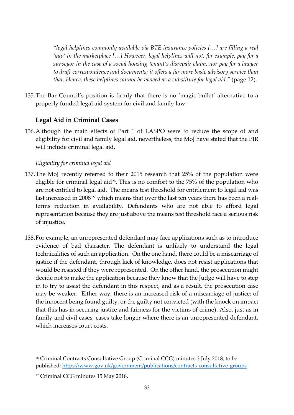*"legal helplines commonly available via BTE insurance policies […] are filling a real 'gap' in the marketplace […] However, legal helplines will not, for example, pay for a surveyor in the case of a social housing tenant's disrepair claim, nor pay for a lawyer to draft correspondence and documents; it offers a far more basic advisory service than that. Hence, these helplines cannot be viewed as a substitute for legal aid."* (page 12).

135.The Bar Council's position is firmly that there is no 'magic bullet' alternative to a properly funded legal aid system for civil and family law.

# **Legal Aid in Criminal Cases**

136.Although the main effects of Part 1 of LASPO were to reduce the scope of and eligibility for civil and family legal aid, nevertheless, the MoJ have stated that the PIR will include criminal legal aid.

#### *Eligibility for criminal legal aid*

- 137.The MoJ recently referred to their 2015 research that 25% of the population were eligible for criminal legal aid<sup>26</sup>. This is no comfort to the  $75\%$  of the population who are not entitled to legal aid. The means test threshold for entitlement to legal aid was last increased in 2008<sup>27</sup> which means that over the last ten years there has been a realterms reduction in availability. Defendants who are not able to afford legal representation because they are just above the means test threshold face a serious risk of injustice.
- 138.For example, an unrepresented defendant may face applications such as to introduce evidence of bad character. The defendant is unlikely to understand the legal technicalities of such an application. On the one hand, there could be a miscarriage of justice if the defendant, through lack of knowledge, does not resist applications that would be resisted if they were represented. On the other hand, the prosecution might decide not to make the application because they know that the Judge will have to step in to try to assist the defendant in this respect, and as a result, the prosecution case may be weaker. Either way, there is an increased risk of a miscarriage of justice: of the innocent being found guilty, or the guilty not convicted (with the knock on impact that this has in securing justice and fairness for the victims of crime). Also, just as in family and civil cases, cases take longer where there is an unrepresented defendant, which increases court costs.

**.** 

<sup>&</sup>lt;sup>26</sup> Criminal Contracts Consultative Group (Criminal CCG) minutes 3 July 2018, to be published:<https://www.gov.uk/government/publications/contracts-consultative-groups>

<sup>27</sup> Criminal CCG minutes 15 May 2018.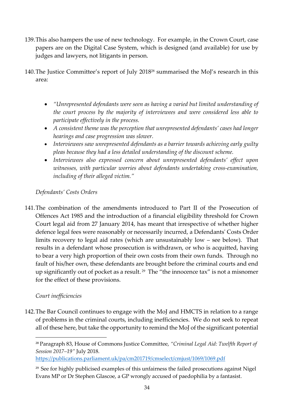- 139.This also hampers the use of new technology. For example, in the Crown Court, case papers are on the Digital Case System, which is designed (and available) for use by judges and lawyers, not litigants in person.
- 140.The Justice Committee's report of July 2018<sup>28</sup> summarised the MoJ's research in this area:
	- *"Unrepresented defendants were seen as having a varied but limited understanding of the court process by the majority of interviewees and were considered less able to participate effectively in the process.*
	- *A consistent theme was the perception that unrepresented defendants' cases had longer hearings and case progression was slower.*
	- *Interviewees saw unrepresented defendants as a barrier towards achieving early guilty pleas because they had a less detailed understanding of the discount scheme.*
	- *Interviewees also expressed concern about unrepresented defendants' effect upon witnesses, with particular worries about defendants undertaking cross-examination, including of their alleged victim."*

# *Defendants' Costs Orders*

141.The combination of the amendments introduced to Part II of the Prosecution of Offences Act 1985 and the introduction of a financial eligibility threshold for Crown Court legal aid from 27 January 2014, has meant that irrespective of whether higher defence legal fees were reasonably or necessarily incurred, a Defendants' Costs Order limits recovery to legal aid rates (which are unsustainably low – see below). That results in a defendant whose prosecution is withdrawn, or who is acquitted, having to bear a very high proportion of their own costs from their own funds. Through no fault of his/her own, these defendants are brought before the criminal courts and end up significantly out of pocket as a result.<sup>29</sup> The "the innocence tax" is not a misnomer for the effect of these provisions.

#### *Court inefficiencies*

 $\overline{a}$ 

142.The Bar Council continues to engage with the MoJ and HMCTS in relation to a range of problems in the criminal courts, including inefficiencies. We do not seek to repeat all of these here, but take the opportunity to remind the MoJ of the significant potential

<sup>28</sup> Paragraph 83, House of Commons Justice Committee, *"Criminal Legal Aid: Twelfth Report of Session 2017–19"* July 2018.

<https://publications.parliament.uk/pa/cm201719/cmselect/cmjust/1069/1069.pdf>

<sup>&</sup>lt;sup>29</sup> See for highly publicised examples of this unfairness the failed prosecutions against Nigel Evans MP or Dr Stephen Glascoe, a GP wrongly accused of paedophilia by a fantasist.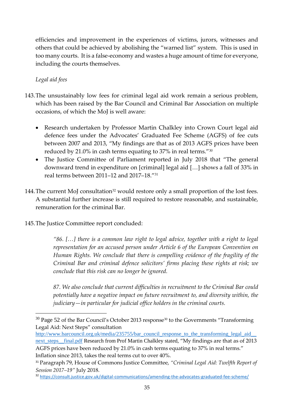efficiencies and improvement in the experiences of victims, jurors, witnesses and others that could be achieved by abolishing the "warned list" system. This is used in too many courts. It is a false-economy and wastes a huge amount of time for everyone, including the courts themselves.

#### *Legal aid fees*

1

- 143.The unsustainably low fees for criminal legal aid work remain a serious problem, which has been raised by the Bar Council and Criminal Bar Association on multiple occasions, of which the MoJ is well aware:
	- Research undertaken by Professor Martin Chalkley into Crown Court legal aid defence fees under the Advocates' Graduated Fee Scheme (AGFS) of fee cuts between 2007 and 2013, "My findings are that as of 2013 AGFS prices have been reduced by 21.0% in cash terms equating to 37% in real terms." $^{30}$
	- The Justice Committee of Parliament reported in July 2018 that "The general downward trend in expenditure on [criminal] legal aid […] shows a fall of 33% in real terms between 2011–12 and 2017–18." 31
- 144. The current MoJ consultation<sup>32</sup> would restore only a small proportion of the lost fees. A substantial further increase is still required to restore reasonable, and sustainable, remuneration for the criminal Bar.
- 145.The Justice Committee report concluded:

*"86. […] there is a common law right to legal advice, together with a right to legal representation for an accused person under Article 6 of the European Convention on Human Rights. We conclude that there is compelling evidence of the fragility of the Criminal Bar and criminal defence solicitors' firms placing these rights at risk; we conclude that this risk can no longer be ignored.*

*87. We also conclude that current difficulties in recruitment to the Criminal Bar could potentially have a negative impact on future recruitment to, and diversity within, the judiciary—in particular for judicial office holders in the criminal courts.*

http://www.barcouncil.org.uk/media/235755/bar\_council\_response\_to\_the\_transforming\_legal\_aid next\_steps\_final.pdf Research from Prof Martin Chalkley stated, "My findings are that as of 2013 AGFS prices have been reduced by 21.0% in cash terms equating to 37% in real terms." Inflation since 2013, takes the real terms cut to over 40%.

 $30$  Page 52 of the Bar Council's October 2013 response<sup>30</sup> to the Governments "Transforming Legal Aid: Next Steps" consultation

<sup>31</sup> Paragraph 79, House of Commons Justice Committee, *"Criminal Legal Aid: Twelfth Report of Session 2017–19"* July 2018.

<sup>32</sup> <https://consult.justice.gov.uk/digital-communications/amending-the-advocates-graduated-fee-scheme/>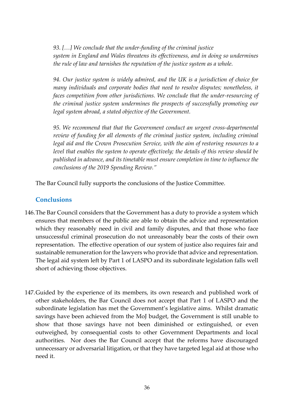*93. […] We conclude that the under-funding of the criminal justice system in England and Wales threatens its effectiveness, and in doing so undermines the rule of law and tarnishes the reputation of the justice system as a whole.*

*94. Our justice system is widely admired, and the UK is a jurisdiction of choice for many individuals and corporate bodies that need to resolve disputes; nonetheless, it faces competition from other jurisdictions. We conclude that the under-resourcing of the criminal justice system undermines the prospects of successfully promoting our legal system abroad, a stated objective of the Government.*

*95. We recommend that that the Government conduct an urgent cross-departmental review of funding for all elements of the criminal justice system, including criminal legal aid and the Crown Prosecution Service, with the aim of restoring resources to a level that enables the system to operate effectively; the details of this review should be published in advance, and its timetable must ensure completion in time to influence the conclusions of the 2019 Spending Review."*

The Bar Council fully supports the conclusions of the Justice Committee.

#### **Conclusions**

- 146.The Bar Council considers that the Government has a duty to provide a system which ensures that members of the public are able to obtain the advice and representation which they reasonably need in civil and family disputes, and that those who face unsuccessful criminal prosecution do not unreasonably bear the costs of their own representation. The effective operation of our system of justice also requires fair and sustainable remuneration for the lawyers who provide that advice and representation. The legal aid system left by Part 1 of LASPO and its subordinate legislation falls well short of achieving those objectives.
- 147.Guided by the experience of its members, its own research and published work of other stakeholders, the Bar Council does not accept that Part 1 of LASPO and the subordinate legislation has met the Government's legislative aims. Whilst dramatic savings have been achieved from the MoJ budget, the Government is still unable to show that those savings have not been diminished or extinguished, or even outweighed, by consequential costs to other Government Departments and local authorities. Nor does the Bar Council accept that the reforms have discouraged unnecessary or adversarial litigation, or that they have targeted legal aid at those who need it.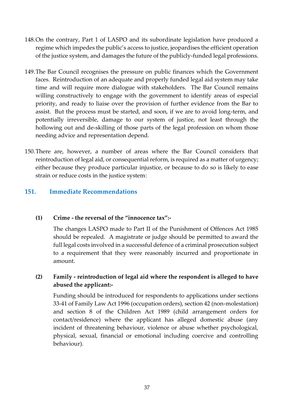- 148.On the contrary, Part 1 of LASPO and its subordinate legislation have produced a regime which impedes the public's access to justice, jeopardises the efficient operation of the justice system, and damages the future of the publicly-funded legal professions.
- 149.The Bar Council recognises the pressure on public finances which the Government faces. Reintroduction of an adequate and properly funded legal aid system may take time and will require more dialogue with stakeholders. The Bar Council remains willing constructively to engage with the government to identify areas of especial priority, and ready to liaise over the provision of further evidence from the Bar to assist. But the process must be started, and soon, if we are to avoid long-term, and potentially irreversible, damage to our system of justice, not least through the hollowing out and de-skilling of those parts of the legal profession on whom those needing advice and representation depend.
- 150.There are, however, a number of areas where the Bar Council considers that reintroduction of legal aid, or consequential reform, is required as a matter of urgency; either because they produce particular injustice, or because to do so is likely to ease strain or reduce costs in the justice system:

#### **151. Immediate Recommendations**

#### **(1) Crime - the reversal of the "innocence tax":-**

The changes LASPO made to Part II of the Punishment of Offences Act 1985 should be repealed. A magistrate or judge should be permitted to award the full legal costs involved in a successful defence of a criminal prosecution subject to a requirement that they were reasonably incurred and proportionate in amount.

#### **(2) Family - reintroduction of legal aid where the respondent is alleged to have abused the applicant:-**

Funding should be introduced for respondents to applications under sections 33-41 of Family Law Act 1996 (occupation orders), section 42 (non-molestation) and section 8 of the Children Act 1989 (child arrangement orders for contact/residence) where the applicant has alleged domestic abuse (any incident of threatening behaviour, violence or abuse whether psychological, physical, sexual, financial or emotional including coercive and controlling behaviour).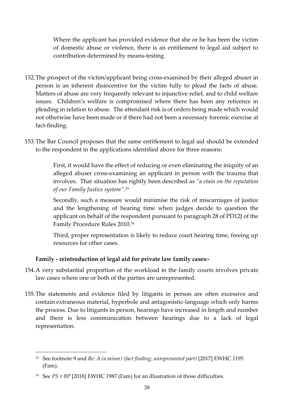Where the applicant has provided evidence that she or he has been the victim of domestic abuse or violence, there is an entitlement to legal aid subject to contribution determined by means-testing.

- 152.The prospect of the victim/applicant being cross-examined by their alleged abuser in person is an inherent disincentive for the victim fully to plead the facts of abuse. Matters of abuse are very frequently relevant to injunctive relief, and to child welfare issues. Children's welfare is compromised where there has been any reticence in pleading in relation to abuse. The attendant risk is of orders being made which would not otherwise have been made or if there had not been a necessary forensic exercise at fact-finding.
- 153.The Bar Council proposes that the same entitlement to legal aid should be extended to the respondent in the applications identified above for three reasons:

First, it would have the effect of reducing or even eliminating the iniquity of an alleged abuser cross-examining an applicant in person with the trauma that involves. That situation has rightly been described as *"a stain on the reputation of our Family Justice system"*. 33

Secondly, such a measure would minimise the risk of miscarriages of justice and the lengthening of hearing time when judges decide to question the applicant on behalf of the respondent pursuant to paragraph 28 of PD12J of the Family Procedure Rules 2010.<sup>34</sup>

Third, proper representation is likely to reduce court hearing time, freeing up resources for other cases.

#### **Family - reintroduction of legal aid for private law family cases:-**

- 154.A very substantial proportion of the workload in the family courts involves private law cases where one or both of the parties are unrepresented.
- 155.The statements and evidence filed by litigants in person are often excessive and contain extraneous material, hyperbole and antagonistic-language which only harms the process. Due to litigants in person, hearings have increased in length and number and there is less communication between hearings due to a lack of legal representation.

**.** 

<sup>&</sup>lt;sup>33</sup> See footnote 9 and *Re: A (a minor) (fact finding; unrepresented part)* [2017] EWHC 1195 (Fam).

<sup>34</sup> See *PS v BP* [2018] EWHC 1987 (Fam) for an illustration of those difficulties.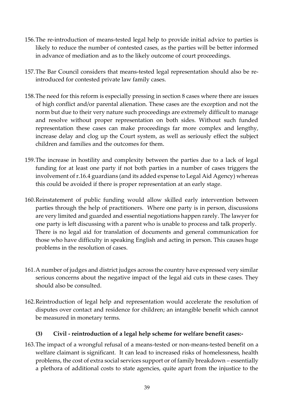- 156.The re-introduction of means-tested legal help to provide initial advice to parties is likely to reduce the number of contested cases, as the parties will be better informed in advance of mediation and as to the likely outcome of court proceedings.
- 157.The Bar Council considers that means-tested legal representation should also be reintroduced for contested private law family cases.
- 158.The need for this reform is especially pressing in section 8 cases where there are issues of high conflict and/or parental alienation. These cases are the exception and not the norm but due to their very nature such proceedings are extremely difficult to manage and resolve without proper representation on both sides. Without such funded representation these cases can make proceedings far more complex and lengthy, increase delay and clog up the Court system, as well as seriously effect the subject children and families and the outcomes for them.
- 159.The increase in hostility and complexity between the parties due to a lack of legal funding for at least one party if not both parties in a number of cases triggers the involvement of r.16.4 guardians (and its added expense to Legal Aid Agency) whereas this could be avoided if there is proper representation at an early stage.
- 160.Reinstatement of public funding would allow skilled early intervention between parties through the help of practitioners. Where one party is in person, discussions are very limited and guarded and essential negotiations happen rarely. The lawyer for one party is left discussing with a parent who is unable to process and talk properly. There is no legal aid for translation of documents and general communication for those who have difficulty in speaking English and acting in person. This causes huge problems in the resolution of cases.
- 161.A number of judges and district judges across the country have expressed very similar serious concerns about the negative impact of the legal aid cuts in these cases. They should also be consulted.
- 162.Reintroduction of legal help and representation would accelerate the resolution of disputes over contact and residence for children; an intangible benefit which cannot be measured in monetary terms.

#### **(3) Civil - reintroduction of a legal help scheme for welfare benefit cases:-**

163.The impact of a wrongful refusal of a means-tested or non-means-tested benefit on a welfare claimant is significant. It can lead to increased risks of homelessness, health problems, the cost of extra social services support or of family breakdown – essentially a plethora of additional costs to state agencies, quite apart from the injustice to the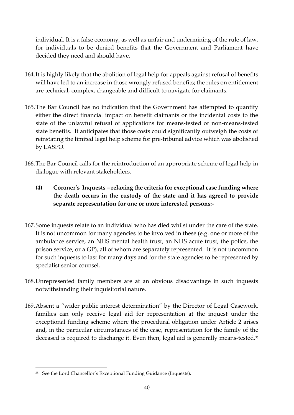individual. It is a false economy, as well as unfair and undermining of the rule of law, for individuals to be denied benefits that the Government and Parliament have decided they need and should have.

- 164.It is highly likely that the abolition of legal help for appeals against refusal of benefits will have led to an increase in those wrongly refused benefits; the rules on entitlement are technical, complex, changeable and difficult to navigate for claimants.
- 165.The Bar Council has no indication that the Government has attempted to quantify either the direct financial impact on benefit claimants or the incidental costs to the state of the unlawful refusal of applications for means-tested or non-means-tested state benefits. It anticipates that those costs could significantly outweigh the costs of reinstating the limited legal help scheme for pre-tribunal advice which was abolished by LASPO.
- 166.The Bar Council calls for the reintroduction of an appropriate scheme of legal help in dialogue with relevant stakeholders.

# **(4) Coroner's Inquests – relaxing the criteria for exceptional case funding where the death occurs in the custody of the state and it has agreed to provide separate representation for one or more interested persons:-**

- 167.Some inquests relate to an individual who has died whilst under the care of the state. It is not uncommon for many agencies to be involved in these (e.g. one or more of the ambulance service, an NHS mental health trust, an NHS acute trust, the police, the prison service, or a GP), all of whom are separately represented. It is not uncommon for such inquests to last for many days and for the state agencies to be represented by specialist senior counsel.
- 168.Unrepresented family members are at an obvious disadvantage in such inquests notwithstanding their inquisitorial nature.
- 169.Absent a "wider public interest determination" by the Director of Legal Casework, families can only receive legal aid for representation at the inquest under the exceptional funding scheme where the procedural obligation under Article 2 arises and, in the particular circumstances of the case, representation for the family of the deceased is required to discharge it. Even then, legal aid is generally means-tested.<sup>35</sup>

 $\overline{a}$ 

<sup>35</sup> See the Lord Chancellor's Exceptional Funding Guidance (Inquests).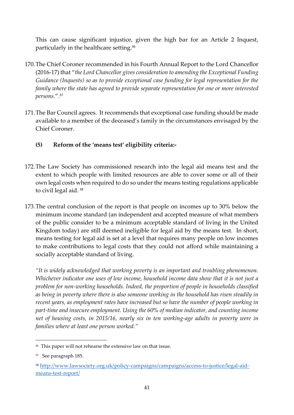This can cause significant injustice, given the high bar for an Article 2 Inquest, particularly in the healthcare setting. 36

- 170.The Chief Coroner recommended in his Fourth Annual Report to the Lord Chancellor (2016-17) that "*the Lord Chancellor gives consideration to amending the Exceptional Funding Guidance (Inquests) so as to provide exceptional case funding for legal representation for the family where the state has agreed to provide separate representation for one or more interested persons.*".<sup>37</sup>
- 171.The Bar Council agrees. It recommends that exceptional case funding should be made available to a member of the deceased's family in the circumstances envisaged by the Chief Coroner.
	- **(5) Reform of the 'means test' eligibility criteria:-**
- 172.The Law Society has commissioned research into the legal aid means test and the extent to which people with limited resources are able to cover some or all of their own legal costs when required to do so under the means testing regulations applicable to civil legal aid. <sup>38</sup>
- 173.The central conclusion of the report is that people on incomes up to 30% below the minimum income standard (an independent and accepted measure of what members of the public consider to be a minimum acceptable standard of living in the United Kingdom today) are still deemed ineligible for legal aid by the means test. In short, means testing for legal aid is set at a level that requires many people on low incomes to make contributions to legal costs that they could not afford while maintaining a socially acceptable standard of living.

*"It is widely acknowledged that working poverty is an important and troubling phenomenon. Whichever indicator one uses of low income, household income data show that it is not just a problem for non-working households. Indeed, the proportion of people in households classified as being in poverty where there is also someone working in the household has risen steadily in recent years, as employment rates have increased but so have the number of people working in part-time and insecure employment. Using the 60% of median indicator, and counting income net of housing costs, in 2015/16, nearly six in ten working-age adults in poverty were in families where at least one person worked."*

**<sup>.</sup>** 36 This paper will not rehearse the extensive law on that issue.

<sup>37</sup> See paragraph 185.

<sup>38</sup> [http://www.lawsociety.org.uk/policy-campaigns/campaigns/access-to-justice/legal-aid](http://www.lawsociety.org.uk/policy-campaigns/campaigns/access-to-justice/legal-aid-means-test-report/)[means-test-report/](http://www.lawsociety.org.uk/policy-campaigns/campaigns/access-to-justice/legal-aid-means-test-report/)